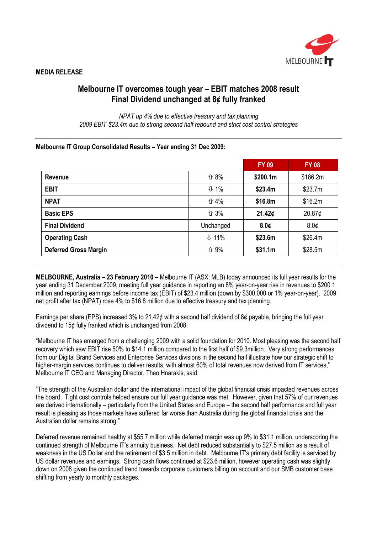

# Melbourne IT overcomes tough year – EBIT matches 2008 result Final Dividend unchanged at 8¢ fully franked

NPAT up 4% due to effective treasury and tax planning 2009 EBIT \$23.4m due to strong second half rebound and strict cost control strategies

## Melbourne IT Group Consolidated Results – Year ending 31 Dec 2009:

|                              |                      | <b>FY 09</b> | <b>FY 08</b>       |
|------------------------------|----------------------|--------------|--------------------|
| Revenue                      | <b>介 8%</b>          | \$200.1m     | \$186.2m           |
| <b>EBIT</b>                  | $\overline{\psi}$ 1% | \$23.4m      | \$23.7m            |
| <b>NPAT</b>                  | ↑ 4%                 | \$16.8m      | \$16.2m            |
| <b>Basic EPS</b>             | ↑ 3%                 | 21.42¢       | 20.87 <sub>¢</sub> |
| <b>Final Dividend</b>        | Unchanged            | 8.0¢         | 8.0 <sub>¢</sub>   |
| <b>Operating Cash</b>        | $\Psi$ 11%           | \$23.6m      | \$26.4m            |
| <b>Deferred Gross Margin</b> | <b>介 9%</b>          | \$31.1m      | \$28.5m            |

MELBOURNE, Australia – 23 February 2010 – Melbourne IT (ASX: MLB) today announced its full year results for the year ending 31 December 2009, meeting full year guidance in reporting an 8% year-on-year rise in revenues to \$200.1 million and reporting earnings before income tax (EBIT) of \$23.4 million (down by \$300,000 or 1% year-on-year). 2009 net profit after tax (NPAT) rose 4% to \$16.8 million due to effective treasury and tax planning.

Earnings per share (EPS) increased 3% to 21.42¢ with a second half dividend of 8¢ payable, bringing the full year dividend to 15¢ fully franked which is unchanged from 2008.

"Melbourne IT has emerged from a challenging 2009 with a solid foundation for 2010. Most pleasing was the second half recovery which saw EBIT rise 50% to \$14.1 million compared to the first half of \$9.3million. Very strong performances from our Digital Brand Services and Enterprise Services divisions in the second half illustrate how our strategic shift to higher-margin services continues to deliver results, with almost 60% of total revenues now derived from IT services." Melbourne IT CEO and Managing Director, Theo Hnarakis, said.

"The strength of the Australian dollar and the international impact of the global financial crisis impacted revenues across the board. Tight cost controls helped ensure our full year guidance was met. However, given that 57% of our revenues are derived internationally – particularly from the United States and Europe – the second half performance and full year result is pleasing as those markets have suffered far worse than Australia during the global financial crisis and the Australian dollar remains strong."

Deferred revenue remained healthy at \$55.7 million while deferred margin was up 9% to \$31.1 million, underscoring the continued strength of Melbourne IT's annuity business. Net debt reduced substantially to \$27.5 million as a result of weakness in the US Dollar and the retirement of \$3.5 million in debt. Melbourne IT's primary debt facility is serviced by US dollar revenues and earnings. Strong cash flows continued at \$23.6 million, however operating cash was slightly down on 2008 given the continued trend towards corporate customers billing on account and our SMB customer base shifting from yearly to monthly packages.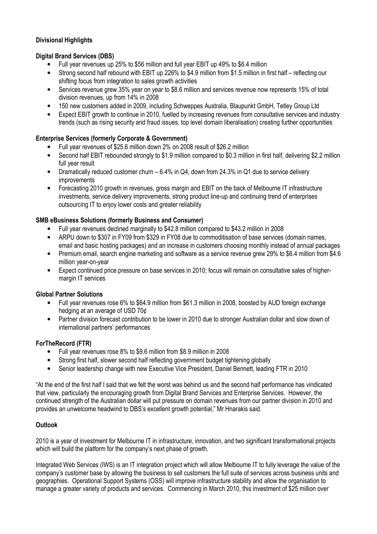# Divisional Highlights

## Digital Brand Services (DBS)

- Full year revenues up 25% to \$56 million and full year EBIT up 49% to \$6.4 million
- Strong second half rebound with EBIT up 226% to \$4.9 million from \$1.5 million in first half reflecting our shifting focus from integration to sales growth activities
- Services revenue grew 35% year on year to \$8.6 million and services revenue now represents 15% of total division revenues, up from 14% in 2008
- 150 new customers added in 2009, including Schweppes Australia, Blaupunkt GmbH, Tetley Group Ltd
- Expect EBIT growth to continue in 2010, fuelled by increasing revenues from consultative services and industry trends (such as rising security and fraud issues, top level domain liberalisation) creating further opportunities

# Enterprise Services (formerly Corporate & Government)

- Full year revenues of \$25.6 million down 2% on 2008 result of \$26.2 million
- Second half EBIT rebounded strongly to \$1.9 million compared to \$0.3 million in first half, delivering \$2.2 million full year result
- Dramatically reduced customer churn 6.4% in Q4, down from 24.3% in Q1 due to service delivery improvements
- Forecasting 2010 growth in revenues, gross margin and EBIT on the back of Melbourne IT infrastructure investments, service delivery improvements, strong product line-up and continuing trend of enterprises outsourcing IT to enjoy lower costs and greater reliability

## SMB eBusiness Solutions (formerly Business and Consumer)

- Full year revenues declined marginally to \$42.8 million compared to \$43.2 million in 2008
- ARPU down to \$307 in FY09 from \$329 in FY08 due to commoditisation of base services (domain names, email and basic hosting packages) and an increase in customers choosing monthly instead of annual packages
- Premium email, search engine marketing and software as a service revenue grew 29% to \$6.4 million from \$4.6 million year-on-year
- Expect continued price pressure on base services in 2010; focus will remain on consultative sales of highermargin IT services

## Global Partner Solutions

- Full year revenues rose 6% to \$64.9 million from \$61.3 million in 2008, boosted by AUD foreign exchange hedging at an average of USD 70¢
- Partner division forecast contribution to be lower in 2010 due to stronger Australian dollar and slow down of international partners' performances

# ForTheRecord (FTR)

- Full year revenues rose 8% to \$9.6 million from \$8.9 million in 2008
- Strong first half, slower second half reflecting government budget tightening globally
- Senior leadership change with new Executive Vice President, Daniel Bennett, leading FTR in 2010

"At the end of the first half I said that we felt the worst was behind us and the second half performance has vindicated that view, particularly the encouraging growth from Digital Brand Services and Enterprise Services. However, the continued strength of the Australian dollar will put pressure on domain revenues from our partner division in 2010 and provides an unwelcome headwind to DBS's excellent growth potential," Mr Hnarakis said.

## **Outlook**

2010 is a year of investment for Melbourne IT in infrastructure, innovation, and two significant transformational projects which will build the platform for the company's next phase of growth.

Integrated Web Services (IWS) is an IT integration project which will allow Melbourne IT to fully leverage the value of the company's customer base by allowing the business to sell customers the full suite of services across business units and geographies. Operational Support Systems (OSS) will improve infrastructure stability and allow the organisation to manage a greater variety of products and services. Commencing in March 2010, this investment of \$25 million over